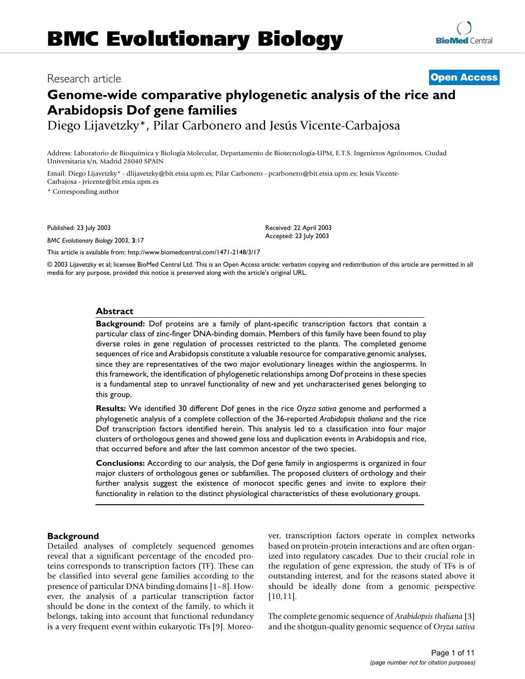# Research article **[Open Access](http://www.biomedcentral.com/info/about/charter/)**

# **Genome-wide comparative phylogenetic analysis of the rice and Arabidopsis Dof gene families**

Diego Lijavetzky\*, Pilar Carbonero and Jesús Vicente-Carbajosa

Address: Laboratorio de Bioquímica y Biología Molecular, Departamento de Biotecnología-UPM, E.T.S. Ingenieros Agrónomos, Ciudad Universitaria s/n, Madrid 28040 SPAIN

Email: Diego Lijavetzky\* - dlijavetzky@bit.etsia.upm.es; Pilar Carbonero - pcarbonero@bit.etsia.upm.es; Jesús Vicente-Carbajosa - jvicente@bit.etsia.upm.es

\* Corresponding author

Published: 23 July 2003

*BMC Evolutionary Biology* 2003, **3**:17

[This article is available from: http://www.biomedcentral.com/1471-2148/3/17](http://www.biomedcentral.com/1471-2148/3/17)

© 2003 Lijavetzky et al; licensee BioMed Central Ltd. This is an Open Access article: verbatim copying and redistribution of this article are permitted in all media for any purpose, provided this notice is preserved along with the article's original URL.

#### **Abstract**

**Background:** Dof proteins are a family of plant-specific transcription factors that contain a particular class of zinc-finger DNA-binding domain. Members of this family have been found to play diverse roles in gene regulation of processes restricted to the plants. The completed genome sequences of rice and Arabidopsis constitute a valuable resource for comparative genomic analyses, since they are representatives of the two major evolutionary lineages within the angiosperms. In this framework, the identification of phylogenetic relationships among Dof proteins in these species is a fundamental step to unravel functionality of new and yet uncharacterised genes belonging to this group.

**Results:** We identified 30 different Dof genes in the rice *Oryza sativa* genome and performed a phylogenetic analysis of a complete collection of the 36-reported *Arabidopsis thaliana* and the rice Dof transcription factors identified herein. This analysis led to a classification into four major clusters of orthologous genes and showed gene loss and duplication events in Arabidopsis and rice, that occurred before and after the last common ancestor of the two species.

**Conclusions:** According to our analysis, the Dof gene family in angiosperms is organized in four major clusters of orthologous genes or subfamilies. The proposed clusters of orthology and their further analysis suggest the existence of monocot specific genes and invite to explore their functionality in relation to the distinct physiological characteristics of these evolutionary groups.

#### **Background**

Detailed analyses of completely sequenced genomes reveal that a significant percentage of the encoded proteins corresponds to transcription factors (TF). These can be classified into several gene families according to the presence of particular DNA binding domains [1–8]. However, the analysis of a particular transcription factor should be done in the context of the family, to which it belongs, taking into account that functional redundancy is a very frequent event within eukaryotic TFs [9]. Moreover, transcription factors operate in complex networks based on protein-protein interactions and are often organized into regulatory cascades. Due to their crucial role in the regulation of gene expression, the study of TFs is of outstanding interest, and for the reasons stated above it should be ideally done from a genomic perspective [10,11].

The complete genomic sequence of *Arabidopsis thaliana* [3] and the shotgun-quality genomic sequence of *Oryza sativa*



Received: 22 April 2003 Accepted: 23 July 2003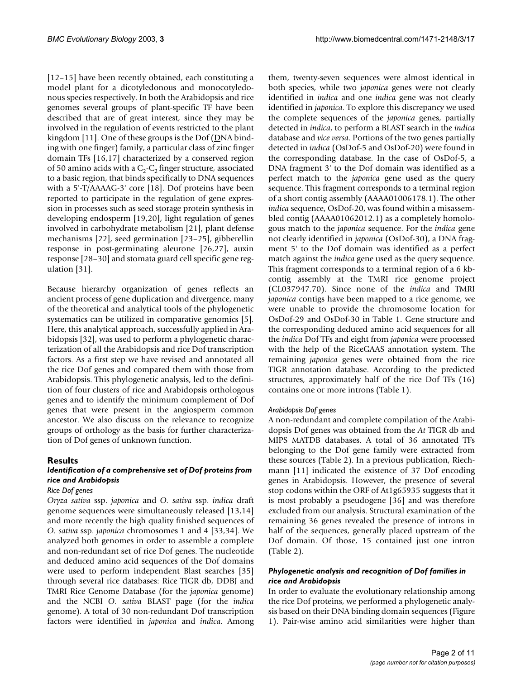[12–15] have been recently obtained, each constituting a model plant for a dicotyledonous and monocotyledonous species respectively. In both the Arabidopsis and rice genomes several groups of plant-specific TF have been described that are of great interest, since they may be involved in the regulation of events restricted to the plant kingdom [11]. One of these groups is the Dof  $(DNA)$  binding with one finger) family, a particular class of zinc finger domain TFs [16,17] characterized by a conserved region of 50 amino acids with a  $C_2$ - $C_2$  finger structure, associated to a basic region, that binds specifically to DNA sequences with a 5'-T/AAAAG-3' core [18]. Dof proteins have been reported to participate in the regulation of gene expression in processes such as seed storage protein synthesis in developing endosperm [19,20], light regulation of genes involved in carbohydrate metabolism [21], plant defense mechanisms [22], seed germination [23–25], gibberellin response in post-germinating aleurone [26,27], auxin response [28–30] and stomata guard cell specific gene regulation [31].

Because hierarchy organization of genes reflects an ancient process of gene duplication and divergence, many of the theoretical and analytical tools of the phylogenetic systematics can be utilized in comparative genomics [5]. Here, this analytical approach, successfully applied in Arabidopsis [32], was used to perform a phylogenetic characterization of all the Arabidopsis and rice Dof transcription factors. As a first step we have revised and annotated all the rice Dof genes and compared them with those from Arabidopsis. This phylogenetic analysis, led to the definition of four clusters of rice and Arabidopsis orthologous genes and to identify the minimum complement of Dof genes that were present in the angiosperm common ancestor. We also discuss on the relevance to recognize groups of orthology as the basis for further characterization of Dof genes of unknown function.

# **Results**

# *Identification of a comprehensive set of Dof proteins from rice and Arabidopsis*

#### *Rice Dof genes*

*Oryza sativa* ssp. *japonica* and *O. sativa* ssp. *indica* draft genome sequences were simultaneously released [13,14] and more recently the high quality finished sequences of *O. sativa* ssp. *japonica* chromosomes 1 and 4 [33,34]. We analyzed both genomes in order to assemble a complete and non-redundant set of rice Dof genes. The nucleotide and deduced amino acid sequences of the Dof domains were used to perform independent Blast searches [35] through several rice databases: Rice TIGR db, DDBJ and TMRI Rice Genome Database (for the *japonica* genome) and the NCBI *O. sativa* BLAST page (for the *indica* genome). A total of 30 non-redundant Dof transcription factors were identified in *japonica* and *indica*. Among them, twenty-seven sequences were almost identical in both species, while two *japonica* genes were not clearly identified in *indica* and one *indica* gene was not clearly identified in *japonica*. To explore this discrepancy we used the complete sequences of the *japonica* genes, partially detected in *indica*, to perform a BLAST search in the *indica* database and *vice versa*. Portions of the two genes partially detected in *indica* (OsDof-5 and OsDof-20) were found in the corresponding database. In the case of OsDof-5, a DNA fragment 3' to the Dof domain was identified as a perfect match to the *japonica* gene used as the query sequence. This fragment corresponds to a terminal region of a short contig assembly (AAAA01006178.1). The other *indica* sequence, OsDof-20, was found within a misassembled contig (AAAA01062012.1) as a completely homologous match to the *japonica* sequence. For the *indica* gene not clearly identified in *japonica* (OsDof-30), a DNA fragment 5' to the Dof domain was identified as a perfect match against the *indica* gene used as the query sequence. This fragment corresponds to a terminal region of a 6 kbcontig assembly at the TMRI rice genome project (CL037947.70). Since none of the *indica* and TMRI *japonica* contigs have been mapped to a rice genome, we were unable to provide the chromosome location for OsDof-29 and OsDof-30 in Table [1.](#page-2-0) Gene structure and the corresponding deduced amino acid sequences for all the *indica* Dof TFs and eight from *japonica* were processed with the help of the RiceGAAS annotation system. The remaining *japonica* genes were obtained from the rice TIGR annotation database. According to the predicted structures, approximately half of the rice Dof TFs (16) contains one or more introns (Table [1\)](#page-2-0).

# *Arabidopsis Dof genes*

A non-redundant and complete compilation of the Arabidopsis Dof genes was obtained from the *At* TIGR db and MIPS MATDB databases. A total of 36 annotated TFs belonging to the Dof gene family were extracted from these sources (Table [2](#page-4-0)). In a previous publication, Riechmann [11] indicated the existence of 37 Dof encoding genes in Arabidopsis. However, the presence of several stop codons within the ORF of At1g65935 suggests that it is most probably a pseudogene [36] and was therefore excluded from our analysis. Structural examination of the remaining 36 genes revealed the presence of introns in half of the sequences, generally placed upstream of the Dof domain. Of those, 15 contained just one intron (Table [2\)](#page-4-0).

# *Phylogenetic analysis and recognition of Dof families in rice and Arabidopsis*

In order to evaluate the evolutionary relationship among the rice Dof proteins, we performed a phylogenetic analysis based on their DNA binding domain sequences (Figure 1). Pair-wise amino acid similarities were higher than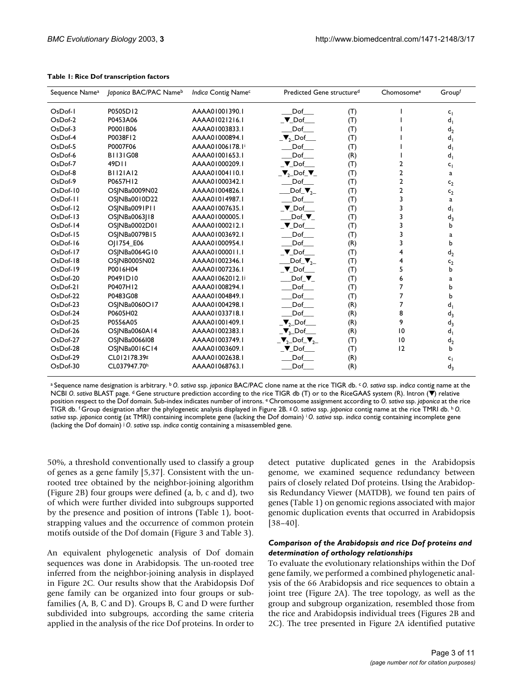| Sequence Name <sup>a</sup> | Japonica BAC/PAC Nameb | Indica Contig Name <sup>c</sup> | Predicted Gene structure <sup>d</sup>                            |     | Chomosome <sup>e</sup> | Groupf         |
|----------------------------|------------------------|---------------------------------|------------------------------------------------------------------|-----|------------------------|----------------|
| OsDof-1                    | P0505D12               | AAAA01001390.1                  | Dof<br>(T)                                                       |     |                        | $c_{1}$        |
| $OsDof-2$                  | P0453A06               | AAAA01021216.1                  | $\nabla$ Dof                                                     | (T) |                        | $d_1$          |
| $OsDof-3$                  | P0001B06               | AAAA01003833.1                  | Dof                                                              | (T) |                        | d <sub>2</sub> |
| $OsDof-4$                  | P0038F12               | AAAA01000894.1                  | $\overline{\mathbf{v}}_2$ Dof                                    | (T) |                        | d,             |
| OsDof-5                    | P0007F06               | AAAA01006178.1                  | Dof                                                              | (T) |                        | d,             |
| OsDof-6                    | <b>B1131G08</b>        | AAAA01001653.1                  | Dof                                                              | (R) |                        | d <sub>ı</sub> |
| $OsDof-7$                  | 49D11                  | AAAA01000209.1                  | $\nabla$ Dof                                                     | (T) | 2                      | $c_1$          |
| OsDof-8                    | <b>BI121A12</b>        | AAAA01004110.1                  | $\overline{\mathbf{v}}_2$ Dof_ $\overline{\mathbf{v}}_2$         | (T) | 2                      | a              |
| $OsDof-9$                  | P0657H12               | AAAA01000342.1                  | Dof                                                              | (T) | 2                      | c <sub>2</sub> |
| $OsDof-10$                 | OSINBa0009N02          | AAAA01004826.1                  | $\mathsf{Dof\_}\nabla_{2-}$                                      | (T) | 2                      | $c_{2}$        |
| OsDof-11                   | OS NBa0010D22          | AAAA01014987.1                  | Dof                                                              | (T) | 3                      | a              |
| $OsDof-12$                 | OS NBa0091P11          | AAAA01007635.1                  | $\nabla$ Dof<br>(T)                                              |     | 3                      | d,             |
| $OsDof-13$                 | OS NBa0063 18          | AAAA01000005.1                  | $Dof \nabla$<br>(T)                                              |     | 3                      | $d_3$          |
| OsDof-14                   | OS NBa0002D01          | AAAA01000212.1                  | $\nY$ Dof $\_\_$<br>(T)                                          |     | 3                      | b              |
| $OsDof-15$                 | OS NBa0079B15          | AAAA01003692.1                  | Dof<br>(T)                                                       |     | 3                      | a              |
| OsDof-16                   | O 1754_E06             | AAAA01000954.1                  | Dof<br>(R)                                                       |     |                        | b              |
| OsDof-17                   | OS NBa0064G10          | AAAA01000011.1                  | $\nabla$ Dof<br>(T)                                              |     |                        | d <sub>2</sub> |
| $OsDof-18$                 | <b>OSINB0005N02</b>    | AAAA01002346.1                  | $Dof_{\mathcal{N}}$                                              | (T) | 4                      | c <sub>2</sub> |
| OsDof-19                   | P0016H04               | AAAA01007236.1                  | $\nabla$ Dof<br>(T)                                              |     | 5                      | b              |
| OsDof-20                   | P0491D10               | AAAA01062012.1                  | $Dof \nabla$<br>(T)                                              |     | 6                      | a              |
| $OsDof-21$                 | P0407H12               | AAAA01008294.1                  | Dof<br>(T)                                                       |     | 7                      | b              |
| OsDof-22                   | P0483G08               | AAAA01004849.1                  | Dof<br>(T)                                                       |     | 7                      | b              |
| $OsDof-23$                 | OS NBa0060O17          | AAAA01004298.1                  | Dof<br>(R)                                                       |     | 7                      | d,             |
| OsDof-24                   | P0605H02               | AAAA01033718.1                  | Dof<br>(R)                                                       |     | 8                      | $d_3$          |
| OsDof-25                   | P0556A05               | AAAA01001409.1                  | $\overline{\mathbf{v}}_2$ Dof<br>(R)                             |     | 9                      | $d_3$          |
| OsDof-26                   | OS NBa0060A14          | AAAA01002383.1                  | $\overline{\phantom{a}}$ <sub>3</sub> _Dof_<br>(R)               |     | 10                     | d,             |
| OsDof-27                   | OS NBa0066108          | AAAA01003749.1                  | $\overline{\mathbf{v}}_2$ _Dof_ $\overline{\mathbf{v}}_2$<br>(T) |     | 10                     | d <sub>2</sub> |
| OsDof-28                   | OS NBa0016C14          | AAAA01003609.1                  | $\n-\nabla_$ Dof $\_\_$<br>(T)                                   |     | 12                     | b              |
| OsDof-29                   | CL012178.39g           | AAAA01002638.1                  | Dof<br>(R)                                                       |     |                        | c,             |
| OsDof-30                   | CL037947.70h           | AAAA01068763.1                  | Dof                                                              | (R) |                        | $d_3$          |

#### <span id="page-2-0"></span>**Table 1: Rice Dof transcription factors**

a Sequence name designation is arbitrary. b *O. sativa* ssp*. japonica* BAC/PAC clone name at the rice TIGR db. c *O. sativa* ssp. *indica* contig name at the NCBI *O. sativa* BLAST page. <sup>d</sup> Gene structure prediction according to the rice TIGR db (T) or to the RiceGAAS system (R). Intron (▼) relative position respect to the Dof domain. Sub-index indicates number of introns. e Chromosome assignment according to *O. sativa* ssp. *japonica* at the rice TIGR db. f Group designation after the phylogenetic analysis displayed in Figure 2B. g *O. sativa* ssp. *japonica* contig name at the rice TMRI db. h *O. sativa* ssp. *japonica* contig (at TMRI) containing incomplete gene (lacking the Dof domain) i *O. sativa* ssp. *indica* contig containing incomplete gene (lacking the Dof domain) j *O. sativa* ssp. *indica* contig containing a misassembled gene.

50%, a threshold conventionally used to classify a group of genes as a gene family [5,37]. Consistent with the unrooted tree obtained by the neighbor-joining algorithm (Figure 2B) four groups were defined (a, b, c and d), two of which were further divided into subgroups supported by the presence and position of introns (Table [1](#page-2-0)), bootstrapping values and the occurrence of common protein motifs outside of the Dof domain (Figure 3 and Table [3](#page-7-0)).

An equivalent phylogenetic analysis of Dof domain sequences was done in Arabidopsis. The un-rooted tree inferred from the neighbor-joining analysis in displayed in Figure 2C. Our results show that the Arabidopsis Dof gene family can be organized into four groups or subfamilies (A, B, C and D). Groups B, C and D were further subdivided into subgroups, according the same criteria applied in the analysis of the rice Dof proteins. In order to

detect putative duplicated genes in the Arabidopsis genome, we examined sequence redundancy between pairs of closely related Dof proteins. Using the Arabidopsis Redundancy Viewer (MATDB), we found ten pairs of genes (Table [1\)](#page-2-0) on genomic regions associated with major genomic duplication events that occurred in Arabidopsis [38–40].

#### *Comparison of the Arabidopsis and rice Dof proteins and determination of orthology relationships*

To evaluate the evolutionary relationships within the Dof gene family, we performed a combined phylogenetic analysis of the 66 Arabidopsis and rice sequences to obtain a joint tree (Figure 2A). The tree topology, as well as the group and subgroup organization, resembled those from the rice and Arabidopsis individual trees (Figures 2B and 2C). The tree presented in Figure 2A identified putative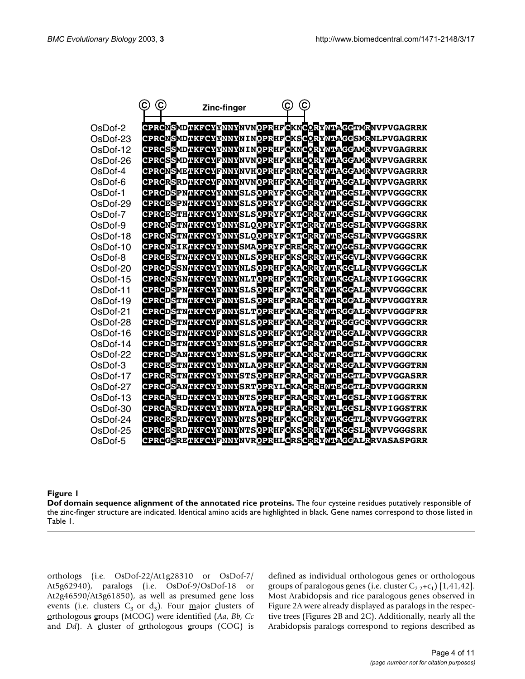

#### Figure 1

**Dof domain sequence alignment of the annotated rice proteins.** The four cysteine residues putatively responsible of the zinc-finger structure are indicated. Identical amino acids are highlighted in black. Gene names correspond to those listed in Table [1](#page-2-0).

orthologs (i.e. OsDof-22/At1g28310 or OsDof-7/ At5g62940), paralogs (i.e. OsDof-9/OsDof-18 or At2g46590/At3g61850), as well as presumed gene loss events (i.e. clusters  $C_3$  or  $d_3$ ). Four major clusters of orthologous groups (MCOG) were identified (*Aa*, *Bb*, *Cc* and *Dd*). A cluster of <u>o</u>rthologous groups (COG) is

defined as individual orthologous genes or orthologous groups of paralogous genes (i.e. cluster  $C_{2,2}+c_1$ ) [1,41,42]. Most Arabidopsis and rice paralogous genes observed in Figure 2A were already displayed as paralogs in the respective trees (Figures 2B and 2C). Additionally, nearly all the Arabidopsis paralogs correspond to regions described as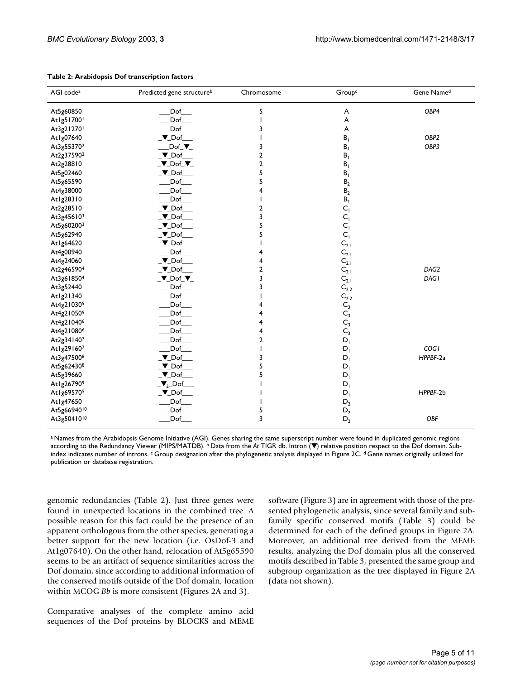| AGI code <sup>a</sup>   | Predicted gene structure <sup>b</sup> | Chromosome | Group <sup>c</sup>          | Gene Name <sup>d</sup> |
|-------------------------|---------------------------------------|------------|-----------------------------|------------------------|
| At5g60850               | Dof                                   | 5          | A                           | OBP4                   |
| Atlg517001              | Dof                                   | ı          | A                           |                        |
| At3g21270               | Dof                                   | 3          | A                           |                        |
| At1g07640               | $\nabla$ Dof                          |            | $B_1$                       | OBP <sub>2</sub>       |
| At3g55370 <sup>2</sup>  | $Dof$ $\nabla$                        | 3          | B <sub>1</sub>              | OBP3                   |
| At2g37590 <sup>2</sup>  | $\neg$ <b>V</b> _Dof_                 | 2          | $B_1$                       |                        |
| At2g28810               | $\neg\neg$ _Dof_V_                    | 2          | B <sub>1</sub>              |                        |
| At5g02460               | $\neg$ <b>V</b> _Dof_                 | 5          | B <sub>1</sub>              |                        |
| At5g65590               | Dof                                   | 5          | B <sub>2</sub>              |                        |
| At4g38000               | Dof                                   | 4          | B <sub>2</sub>              |                        |
| Atlg28310               | Dof                                   |            | B <sub>2</sub>              |                        |
| At2g28510               | $\n-\nabla$ <sub>_</sub> Dof          | 2          | $C_1$                       |                        |
| At3g456103              | $\neg$ <b>V</b> _Dof                  | 3          | $C_1$                       |                        |
| At5g602003              | $\neg$ <b>V</b> _Dof                  | 5          | $C_1$                       |                        |
| At5g62940               | $\neg$ <b>V</b> _Dof                  | 5          | $C_1$                       |                        |
| Atlg64620               | $\nabla$ Dof                          |            | $C_{2.1}$                   |                        |
| At4g00940               | Dof                                   | 4          | $C_{2.1}$                   |                        |
| At4g24060               | $\neg$ <b>V</b> _Dof                  | 4          | $C_{2.1}$                   |                        |
| At2g465904              | $\neg$ <b>V</b> _Dof_                 | 2          | $C_{2.1}$                   | DAG2                   |
| At3g618504              | _▼_Dof_▼_                             | 3          | $C_{2.1}$                   | <b>DAGI</b>            |
| At3g52440               | Dof                                   | 3          | $C_{2.2}$                   |                        |
| Atlg21340               | Dof                                   |            | $\mathsf{C}_{\mathsf{2.2}}$ |                        |
| At4g210305              | Dof                                   | 4          | $C_3$                       |                        |
| At4g210505              | Dof                                   | 4          | $C_3$                       |                        |
| At4g21040 <sup>6</sup>  | Dof                                   | 4          | $C_3$                       |                        |
| At4g210806              | Dof                                   | 4          | $C_3$                       |                        |
| At2g341407              | Dof                                   | 2          | $D_1$                       |                        |
| Atlg291607              | Dof                                   |            | $D_1$                       | <b>COGI</b>            |
| At3g475008              | $\nabla$ Dof                          | 3          | $D_1$                       | HPPBF-2a               |
| At5g624308              | $\neg$ <b>V</b> _Dof                  | 5          | $D_1$                       |                        |
| At5g39660               | $\neg$ <b>V</b> _Dof                  | 5          | $D_1$                       |                        |
| Atlg267909              | $\neg$ <sub>2</sub> _Dof_             |            | $D_1$                       |                        |
| Atlg695709              | $\neg$ <b>V</b> _Dof                  |            | $D_1$                       | HPPBF-2b               |
| Atlg47650               | Dof                                   |            | $D_2$                       |                        |
| At5g6694010             | Dof                                   | 5          | $D_2$                       |                        |
| At3g50410 <sup>10</sup> | Dof                                   | 3          | $D_2$                       | OBF                    |

#### <span id="page-4-0"></span>**Table 2: Arabidopsis Dof transcription factors**

a Names from the Arabidopsis Genome Initiative (AGI). Genes sharing the same superscript number were found in duplicated genomic regions according to the Redundancy Viewer (MIPS/MATDB). b Data from the *At* TIGR db. Intron (▼) relative position respect to the Dof domain. Subindex indicates number of introns. <sup>c</sup> Group designation after the phylogenetic analysis displayed in Figure 2C. <sup>d</sup> Gene names originally utilized for publication or database registration.

genomic redundancies (Table [2\)](#page-4-0). Just three genes were found in unexpected locations in the combined tree. A possible reason for this fact could be the presence of an apparent orthologous from the other species, generating a better support for the new location (i.e. OsDof-3 and At1g07640). On the other hand, relocation of At5g65590 seems to be an artifact of sequence similarities across the Dof domain, since according to additional information of the conserved motifs outside of the Dof domain, location within MCOG *Bb* is more consistent (Figures 2A and 3).

Comparative analyses of the complete amino acid sequences of the Dof proteins by BLOCKS and MEME

software (Figure 3) are in agreement with those of the presented phylogenetic analysis, since several family and subfamily specific conserved motifs (Table [3\)](#page-7-0) could be determined for each of the defined groups in Figure 2A. Moreover, an additional tree derived from the MEME results, analyzing the Dof domain plus all the conserved motifs described in Table [3,](#page-7-0) presented the same group and subgroup organization as the tree displayed in Figure 2A (data not shown).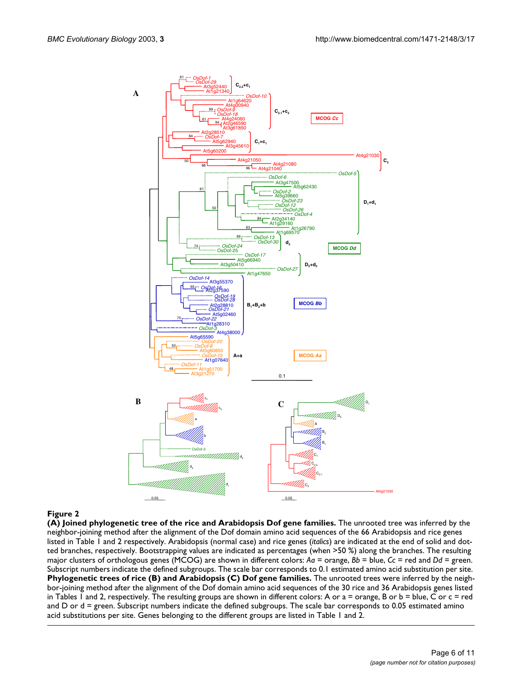

# Figure 2

**(A) Joined phylogenetic tree of the rice and Arabidopsis Dof gene families.** The unrooted tree was inferred by the neighbor-joining method after the alignment of the Dof domain amino acid sequences of the 66 Arabidopsis and rice genes listed in Table [1](#page-2-0) and [2](#page-4-0) respectively. Arabidopsis (normal case) and rice genes (*italics*) are indicated at the end of solid and dotted branches, respectively. Bootstrapping values are indicated as percentages (when >50 %) along the branches. The resulting major clusters of orthologous genes (MCOG) are shown in different colors: *Aa* = orange, *Bb* = blue, *Cc* = red and *Dd* = green. Subscript numbers indicate the defined subgroups. The scale bar corresponds to 0.1 estimated amino acid substitution per site. **Phylogenetic trees of rice (B) and Arabidopsis (C) Dof gene families.** The unrooted trees were inferred by the neighbor-joining method after the alignment of the Dof domain amino acid sequences of the 30 rice and 36 Arabidopsis genes listed in Tables [1](#page-2-0) and [2](#page-4-0), respectively. The resulting groups are shown in different colors: A or a = orange, B or b = blue, C or c = red and D or d = green. Subscript numbers indicate the defined subgroups. The scale bar corresponds to 0.05 estimated amino acid substitutions per site. Genes belonging to the different groups are listed in Table [1](#page-2-0) and [2](#page-4-0).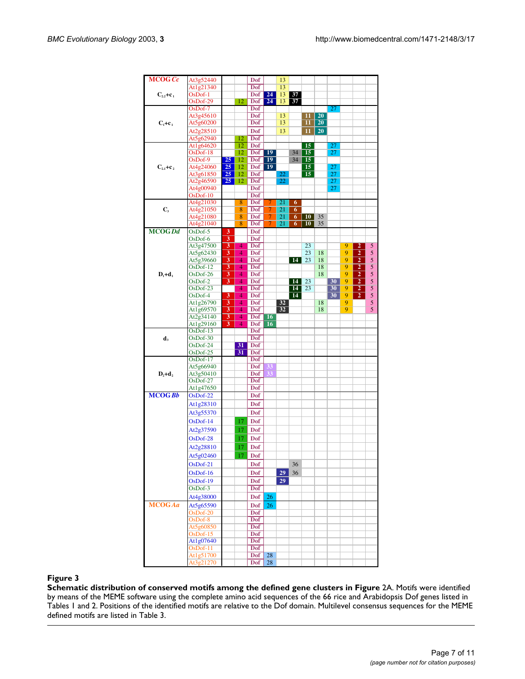| MCOG Cc<br>At3g52440<br>Dof<br>13<br>At1g21340<br>Dof<br>13<br>Dof<br>24<br>13<br> 37 <br>$OsDof-1$<br>$C_{2,2} + c_1$<br>$\overline{24}$<br>OsDof-29<br>12<br>Dof<br>13<br>37<br>27<br>Dof<br>$OsDof-7$<br>Dof<br>13<br>20<br>At3g45610<br>11<br>$20\,$<br>13<br>11<br>$C_1+c_1$<br>At5g60200<br>Dof<br>At2g28510<br>Dof<br>13<br>11<br>20<br>At5g62940<br>12<br>Dof<br>$\overline{12}$<br>15<br>Dof<br>27<br>At1g64620<br>$\overline{27}$<br>12<br>19<br>15<br>$OsDof-18$<br>Dof<br>34<br>25 <sub>1</sub><br>19 <sup>°</sup><br>15<br>OsDof-9<br>12<br>Dof<br>34<br>25 <sub>1</sub><br>19<br>15 <sup>7</sup><br>27<br>At4g24060<br>12<br>Dof<br>$C_{2,1}+c_{2}$<br>25<br>12<br>15<br>27<br>At3g61850<br>Dof<br>22<br>25<br>$\overline{22}$<br>$\overline{27}$<br>At2g46590<br>12<br>Dof<br>$\overline{27}$<br>At4g00940<br>Dof<br>Dof<br>$OsDof-10$<br>8<br>Dof<br>7<br>At4g21030<br>21<br>6<br>$\overline{8}$<br>$\overline{7}$<br>$\overline{\mathbf{6}}$<br>Dof<br>21<br>$C_{3}$<br>At4g21050<br>8<br>7<br>21<br>6<br>10<br>35<br>At4g21080<br>Dof<br>7<br>At4g21040<br>8<br>21<br>6<br>10<br>35<br>Dof<br><b>MCOGDd</b><br>$OsDof-5$<br>3<br>Dof<br>$\overline{\mathbf{3}}$<br>OsDof-6<br>Dof<br>$\overline{\overline{3}}$<br>At3g47500<br>23<br>5<br>4<br>Dof<br>9<br>$\overline{\mathbf{c}}$<br>$\overline{2}$<br>5<br>$\overline{\mathbf{3}}$<br>23<br>9<br>At5g62430<br>$\overline{4}$<br>Dof<br>18<br>$\overline{3}$<br>$\overline{2}$<br> 14 <br>23<br>5<br>At5g39660<br>$\overline{4}$<br>9<br>Dof<br>18<br>5<br>$\overline{3}$<br>9<br>$\overline{2}$<br>$\overline{4}$<br>18<br>$OsDof-12$<br>Dof<br>5<br>$\overline{2}$<br>3<br>18<br>9<br>$D_1 + d_1$<br>$OsDof-26$<br>4<br>Dof<br>5<br>$\overline{2}$<br>$OsDof-2$<br>3<br>4<br>Dof<br>14<br>23<br>30<br>9<br>5<br>14<br>23<br>30<br>$\overline{2}$<br>$OsDof-23$<br>9<br>4<br>Dof<br>5<br>14<br>9<br>$\overline{2}$<br>$OsDof-4$<br>3<br>$\overline{4}$<br>Dof<br>30 <sup>°</sup><br>5<br>$\overline{3}$<br>At1g26790<br>$\overline{4}$<br>32 <sub>2</sub><br>9<br>Dof<br>18<br>$\overline{\overline{3}}$<br>9<br>5<br>32<br>At1g69570<br>$\overline{4}$<br>18<br>Dof<br>$\overline{\mathbf{3}}$<br>At2g34140<br>$\overline{4}$<br>Dof<br>16<br>At1g29160<br>$\overline{4}$<br>16<br>Dof<br>$OsDof-13$<br>Dof<br>$OsDof-30$<br>Dof<br>$d_3$<br>31<br>OsDof-24<br>Dof<br>$\overline{31}$<br>OsDof-25<br>Dof<br>OsDof-17<br>Dof<br>At5g66940<br>Dof<br>33<br>33<br>$D_2+d_2$<br>At3g50410<br>Dof<br>$OsDof-27$<br>Dof<br>Dof<br>At1g47650<br><b>MCOGBb</b><br>$OsDof-22$<br>Dof<br>Dof<br>At1g28310<br>Dof<br>At3g55370<br>$OsDof-14$<br>17<br>Dof<br>At2g37590<br>17<br>Dof<br>OsDof-28<br>17<br>Dof<br>At2g28810<br>17<br>Dof<br>At5g02460<br>17<br>Dof<br>36<br>$OsDof-21$<br>Dof<br>Dof<br>29<br>36<br>$OsDof-16$<br>Dof<br>29<br>$OsDof-19$<br>$OsDof-3$<br>Dof<br>At4g38000<br>Dof<br>26<br><b>MCOGAa</b><br>At5g65590<br>Dof<br>26<br><b>Dof</b><br>$OsDof-20$<br>OsDof-8<br>Dof<br>At5g60850<br>Dof<br>$OsDof-15$<br>Dof<br>At1g07640<br>Dof<br>$OsDof-11$<br>Dof<br>At1g51700<br>Dof<br>28<br>At3g21270<br>Dof<br>28 |  |  |  |  |  |  |  |
|------------------------------------------------------------------------------------------------------------------------------------------------------------------------------------------------------------------------------------------------------------------------------------------------------------------------------------------------------------------------------------------------------------------------------------------------------------------------------------------------------------------------------------------------------------------------------------------------------------------------------------------------------------------------------------------------------------------------------------------------------------------------------------------------------------------------------------------------------------------------------------------------------------------------------------------------------------------------------------------------------------------------------------------------------------------------------------------------------------------------------------------------------------------------------------------------------------------------------------------------------------------------------------------------------------------------------------------------------------------------------------------------------------------------------------------------------------------------------------------------------------------------------------------------------------------------------------------------------------------------------------------------------------------------------------------------------------------------------------------------------------------------------------------------------------------------------------------------------------------------------------------------------------------------------------------------------------------------------------------------------------------------------------------------------------------------------------------------------------------------------------------------------------------------------------------------------------------------------------------------------------------------------------------------------------------------------------------------------------------------------------------------------------------------------------------------------------------------------------------------------------------------------------------------------------------------------------------------------------------------------------------------------------------------------------------------------------------------------------------------------------------------------------------------------------------------------------------------------------------------------------------------------------------------------------------------------------------------------------------------------------------------------------------------------------------------------------------------|--|--|--|--|--|--|--|
|                                                                                                                                                                                                                                                                                                                                                                                                                                                                                                                                                                                                                                                                                                                                                                                                                                                                                                                                                                                                                                                                                                                                                                                                                                                                                                                                                                                                                                                                                                                                                                                                                                                                                                                                                                                                                                                                                                                                                                                                                                                                                                                                                                                                                                                                                                                                                                                                                                                                                                                                                                                                                                                                                                                                                                                                                                                                                                                                                                                                                                                                                                |  |  |  |  |  |  |  |
|                                                                                                                                                                                                                                                                                                                                                                                                                                                                                                                                                                                                                                                                                                                                                                                                                                                                                                                                                                                                                                                                                                                                                                                                                                                                                                                                                                                                                                                                                                                                                                                                                                                                                                                                                                                                                                                                                                                                                                                                                                                                                                                                                                                                                                                                                                                                                                                                                                                                                                                                                                                                                                                                                                                                                                                                                                                                                                                                                                                                                                                                                                |  |  |  |  |  |  |  |
|                                                                                                                                                                                                                                                                                                                                                                                                                                                                                                                                                                                                                                                                                                                                                                                                                                                                                                                                                                                                                                                                                                                                                                                                                                                                                                                                                                                                                                                                                                                                                                                                                                                                                                                                                                                                                                                                                                                                                                                                                                                                                                                                                                                                                                                                                                                                                                                                                                                                                                                                                                                                                                                                                                                                                                                                                                                                                                                                                                                                                                                                                                |  |  |  |  |  |  |  |
|                                                                                                                                                                                                                                                                                                                                                                                                                                                                                                                                                                                                                                                                                                                                                                                                                                                                                                                                                                                                                                                                                                                                                                                                                                                                                                                                                                                                                                                                                                                                                                                                                                                                                                                                                                                                                                                                                                                                                                                                                                                                                                                                                                                                                                                                                                                                                                                                                                                                                                                                                                                                                                                                                                                                                                                                                                                                                                                                                                                                                                                                                                |  |  |  |  |  |  |  |
|                                                                                                                                                                                                                                                                                                                                                                                                                                                                                                                                                                                                                                                                                                                                                                                                                                                                                                                                                                                                                                                                                                                                                                                                                                                                                                                                                                                                                                                                                                                                                                                                                                                                                                                                                                                                                                                                                                                                                                                                                                                                                                                                                                                                                                                                                                                                                                                                                                                                                                                                                                                                                                                                                                                                                                                                                                                                                                                                                                                                                                                                                                |  |  |  |  |  |  |  |
|                                                                                                                                                                                                                                                                                                                                                                                                                                                                                                                                                                                                                                                                                                                                                                                                                                                                                                                                                                                                                                                                                                                                                                                                                                                                                                                                                                                                                                                                                                                                                                                                                                                                                                                                                                                                                                                                                                                                                                                                                                                                                                                                                                                                                                                                                                                                                                                                                                                                                                                                                                                                                                                                                                                                                                                                                                                                                                                                                                                                                                                                                                |  |  |  |  |  |  |  |
|                                                                                                                                                                                                                                                                                                                                                                                                                                                                                                                                                                                                                                                                                                                                                                                                                                                                                                                                                                                                                                                                                                                                                                                                                                                                                                                                                                                                                                                                                                                                                                                                                                                                                                                                                                                                                                                                                                                                                                                                                                                                                                                                                                                                                                                                                                                                                                                                                                                                                                                                                                                                                                                                                                                                                                                                                                                                                                                                                                                                                                                                                                |  |  |  |  |  |  |  |
|                                                                                                                                                                                                                                                                                                                                                                                                                                                                                                                                                                                                                                                                                                                                                                                                                                                                                                                                                                                                                                                                                                                                                                                                                                                                                                                                                                                                                                                                                                                                                                                                                                                                                                                                                                                                                                                                                                                                                                                                                                                                                                                                                                                                                                                                                                                                                                                                                                                                                                                                                                                                                                                                                                                                                                                                                                                                                                                                                                                                                                                                                                |  |  |  |  |  |  |  |
|                                                                                                                                                                                                                                                                                                                                                                                                                                                                                                                                                                                                                                                                                                                                                                                                                                                                                                                                                                                                                                                                                                                                                                                                                                                                                                                                                                                                                                                                                                                                                                                                                                                                                                                                                                                                                                                                                                                                                                                                                                                                                                                                                                                                                                                                                                                                                                                                                                                                                                                                                                                                                                                                                                                                                                                                                                                                                                                                                                                                                                                                                                |  |  |  |  |  |  |  |
|                                                                                                                                                                                                                                                                                                                                                                                                                                                                                                                                                                                                                                                                                                                                                                                                                                                                                                                                                                                                                                                                                                                                                                                                                                                                                                                                                                                                                                                                                                                                                                                                                                                                                                                                                                                                                                                                                                                                                                                                                                                                                                                                                                                                                                                                                                                                                                                                                                                                                                                                                                                                                                                                                                                                                                                                                                                                                                                                                                                                                                                                                                |  |  |  |  |  |  |  |
|                                                                                                                                                                                                                                                                                                                                                                                                                                                                                                                                                                                                                                                                                                                                                                                                                                                                                                                                                                                                                                                                                                                                                                                                                                                                                                                                                                                                                                                                                                                                                                                                                                                                                                                                                                                                                                                                                                                                                                                                                                                                                                                                                                                                                                                                                                                                                                                                                                                                                                                                                                                                                                                                                                                                                                                                                                                                                                                                                                                                                                                                                                |  |  |  |  |  |  |  |
|                                                                                                                                                                                                                                                                                                                                                                                                                                                                                                                                                                                                                                                                                                                                                                                                                                                                                                                                                                                                                                                                                                                                                                                                                                                                                                                                                                                                                                                                                                                                                                                                                                                                                                                                                                                                                                                                                                                                                                                                                                                                                                                                                                                                                                                                                                                                                                                                                                                                                                                                                                                                                                                                                                                                                                                                                                                                                                                                                                                                                                                                                                |  |  |  |  |  |  |  |
|                                                                                                                                                                                                                                                                                                                                                                                                                                                                                                                                                                                                                                                                                                                                                                                                                                                                                                                                                                                                                                                                                                                                                                                                                                                                                                                                                                                                                                                                                                                                                                                                                                                                                                                                                                                                                                                                                                                                                                                                                                                                                                                                                                                                                                                                                                                                                                                                                                                                                                                                                                                                                                                                                                                                                                                                                                                                                                                                                                                                                                                                                                |  |  |  |  |  |  |  |
|                                                                                                                                                                                                                                                                                                                                                                                                                                                                                                                                                                                                                                                                                                                                                                                                                                                                                                                                                                                                                                                                                                                                                                                                                                                                                                                                                                                                                                                                                                                                                                                                                                                                                                                                                                                                                                                                                                                                                                                                                                                                                                                                                                                                                                                                                                                                                                                                                                                                                                                                                                                                                                                                                                                                                                                                                                                                                                                                                                                                                                                                                                |  |  |  |  |  |  |  |
|                                                                                                                                                                                                                                                                                                                                                                                                                                                                                                                                                                                                                                                                                                                                                                                                                                                                                                                                                                                                                                                                                                                                                                                                                                                                                                                                                                                                                                                                                                                                                                                                                                                                                                                                                                                                                                                                                                                                                                                                                                                                                                                                                                                                                                                                                                                                                                                                                                                                                                                                                                                                                                                                                                                                                                                                                                                                                                                                                                                                                                                                                                |  |  |  |  |  |  |  |
|                                                                                                                                                                                                                                                                                                                                                                                                                                                                                                                                                                                                                                                                                                                                                                                                                                                                                                                                                                                                                                                                                                                                                                                                                                                                                                                                                                                                                                                                                                                                                                                                                                                                                                                                                                                                                                                                                                                                                                                                                                                                                                                                                                                                                                                                                                                                                                                                                                                                                                                                                                                                                                                                                                                                                                                                                                                                                                                                                                                                                                                                                                |  |  |  |  |  |  |  |
|                                                                                                                                                                                                                                                                                                                                                                                                                                                                                                                                                                                                                                                                                                                                                                                                                                                                                                                                                                                                                                                                                                                                                                                                                                                                                                                                                                                                                                                                                                                                                                                                                                                                                                                                                                                                                                                                                                                                                                                                                                                                                                                                                                                                                                                                                                                                                                                                                                                                                                                                                                                                                                                                                                                                                                                                                                                                                                                                                                                                                                                                                                |  |  |  |  |  |  |  |
|                                                                                                                                                                                                                                                                                                                                                                                                                                                                                                                                                                                                                                                                                                                                                                                                                                                                                                                                                                                                                                                                                                                                                                                                                                                                                                                                                                                                                                                                                                                                                                                                                                                                                                                                                                                                                                                                                                                                                                                                                                                                                                                                                                                                                                                                                                                                                                                                                                                                                                                                                                                                                                                                                                                                                                                                                                                                                                                                                                                                                                                                                                |  |  |  |  |  |  |  |
|                                                                                                                                                                                                                                                                                                                                                                                                                                                                                                                                                                                                                                                                                                                                                                                                                                                                                                                                                                                                                                                                                                                                                                                                                                                                                                                                                                                                                                                                                                                                                                                                                                                                                                                                                                                                                                                                                                                                                                                                                                                                                                                                                                                                                                                                                                                                                                                                                                                                                                                                                                                                                                                                                                                                                                                                                                                                                                                                                                                                                                                                                                |  |  |  |  |  |  |  |
|                                                                                                                                                                                                                                                                                                                                                                                                                                                                                                                                                                                                                                                                                                                                                                                                                                                                                                                                                                                                                                                                                                                                                                                                                                                                                                                                                                                                                                                                                                                                                                                                                                                                                                                                                                                                                                                                                                                                                                                                                                                                                                                                                                                                                                                                                                                                                                                                                                                                                                                                                                                                                                                                                                                                                                                                                                                                                                                                                                                                                                                                                                |  |  |  |  |  |  |  |
|                                                                                                                                                                                                                                                                                                                                                                                                                                                                                                                                                                                                                                                                                                                                                                                                                                                                                                                                                                                                                                                                                                                                                                                                                                                                                                                                                                                                                                                                                                                                                                                                                                                                                                                                                                                                                                                                                                                                                                                                                                                                                                                                                                                                                                                                                                                                                                                                                                                                                                                                                                                                                                                                                                                                                                                                                                                                                                                                                                                                                                                                                                |  |  |  |  |  |  |  |
|                                                                                                                                                                                                                                                                                                                                                                                                                                                                                                                                                                                                                                                                                                                                                                                                                                                                                                                                                                                                                                                                                                                                                                                                                                                                                                                                                                                                                                                                                                                                                                                                                                                                                                                                                                                                                                                                                                                                                                                                                                                                                                                                                                                                                                                                                                                                                                                                                                                                                                                                                                                                                                                                                                                                                                                                                                                                                                                                                                                                                                                                                                |  |  |  |  |  |  |  |
|                                                                                                                                                                                                                                                                                                                                                                                                                                                                                                                                                                                                                                                                                                                                                                                                                                                                                                                                                                                                                                                                                                                                                                                                                                                                                                                                                                                                                                                                                                                                                                                                                                                                                                                                                                                                                                                                                                                                                                                                                                                                                                                                                                                                                                                                                                                                                                                                                                                                                                                                                                                                                                                                                                                                                                                                                                                                                                                                                                                                                                                                                                |  |  |  |  |  |  |  |
|                                                                                                                                                                                                                                                                                                                                                                                                                                                                                                                                                                                                                                                                                                                                                                                                                                                                                                                                                                                                                                                                                                                                                                                                                                                                                                                                                                                                                                                                                                                                                                                                                                                                                                                                                                                                                                                                                                                                                                                                                                                                                                                                                                                                                                                                                                                                                                                                                                                                                                                                                                                                                                                                                                                                                                                                                                                                                                                                                                                                                                                                                                |  |  |  |  |  |  |  |
|                                                                                                                                                                                                                                                                                                                                                                                                                                                                                                                                                                                                                                                                                                                                                                                                                                                                                                                                                                                                                                                                                                                                                                                                                                                                                                                                                                                                                                                                                                                                                                                                                                                                                                                                                                                                                                                                                                                                                                                                                                                                                                                                                                                                                                                                                                                                                                                                                                                                                                                                                                                                                                                                                                                                                                                                                                                                                                                                                                                                                                                                                                |  |  |  |  |  |  |  |
|                                                                                                                                                                                                                                                                                                                                                                                                                                                                                                                                                                                                                                                                                                                                                                                                                                                                                                                                                                                                                                                                                                                                                                                                                                                                                                                                                                                                                                                                                                                                                                                                                                                                                                                                                                                                                                                                                                                                                                                                                                                                                                                                                                                                                                                                                                                                                                                                                                                                                                                                                                                                                                                                                                                                                                                                                                                                                                                                                                                                                                                                                                |  |  |  |  |  |  |  |
|                                                                                                                                                                                                                                                                                                                                                                                                                                                                                                                                                                                                                                                                                                                                                                                                                                                                                                                                                                                                                                                                                                                                                                                                                                                                                                                                                                                                                                                                                                                                                                                                                                                                                                                                                                                                                                                                                                                                                                                                                                                                                                                                                                                                                                                                                                                                                                                                                                                                                                                                                                                                                                                                                                                                                                                                                                                                                                                                                                                                                                                                                                |  |  |  |  |  |  |  |
|                                                                                                                                                                                                                                                                                                                                                                                                                                                                                                                                                                                                                                                                                                                                                                                                                                                                                                                                                                                                                                                                                                                                                                                                                                                                                                                                                                                                                                                                                                                                                                                                                                                                                                                                                                                                                                                                                                                                                                                                                                                                                                                                                                                                                                                                                                                                                                                                                                                                                                                                                                                                                                                                                                                                                                                                                                                                                                                                                                                                                                                                                                |  |  |  |  |  |  |  |
|                                                                                                                                                                                                                                                                                                                                                                                                                                                                                                                                                                                                                                                                                                                                                                                                                                                                                                                                                                                                                                                                                                                                                                                                                                                                                                                                                                                                                                                                                                                                                                                                                                                                                                                                                                                                                                                                                                                                                                                                                                                                                                                                                                                                                                                                                                                                                                                                                                                                                                                                                                                                                                                                                                                                                                                                                                                                                                                                                                                                                                                                                                |  |  |  |  |  |  |  |
|                                                                                                                                                                                                                                                                                                                                                                                                                                                                                                                                                                                                                                                                                                                                                                                                                                                                                                                                                                                                                                                                                                                                                                                                                                                                                                                                                                                                                                                                                                                                                                                                                                                                                                                                                                                                                                                                                                                                                                                                                                                                                                                                                                                                                                                                                                                                                                                                                                                                                                                                                                                                                                                                                                                                                                                                                                                                                                                                                                                                                                                                                                |  |  |  |  |  |  |  |
|                                                                                                                                                                                                                                                                                                                                                                                                                                                                                                                                                                                                                                                                                                                                                                                                                                                                                                                                                                                                                                                                                                                                                                                                                                                                                                                                                                                                                                                                                                                                                                                                                                                                                                                                                                                                                                                                                                                                                                                                                                                                                                                                                                                                                                                                                                                                                                                                                                                                                                                                                                                                                                                                                                                                                                                                                                                                                                                                                                                                                                                                                                |  |  |  |  |  |  |  |
|                                                                                                                                                                                                                                                                                                                                                                                                                                                                                                                                                                                                                                                                                                                                                                                                                                                                                                                                                                                                                                                                                                                                                                                                                                                                                                                                                                                                                                                                                                                                                                                                                                                                                                                                                                                                                                                                                                                                                                                                                                                                                                                                                                                                                                                                                                                                                                                                                                                                                                                                                                                                                                                                                                                                                                                                                                                                                                                                                                                                                                                                                                |  |  |  |  |  |  |  |
|                                                                                                                                                                                                                                                                                                                                                                                                                                                                                                                                                                                                                                                                                                                                                                                                                                                                                                                                                                                                                                                                                                                                                                                                                                                                                                                                                                                                                                                                                                                                                                                                                                                                                                                                                                                                                                                                                                                                                                                                                                                                                                                                                                                                                                                                                                                                                                                                                                                                                                                                                                                                                                                                                                                                                                                                                                                                                                                                                                                                                                                                                                |  |  |  |  |  |  |  |
|                                                                                                                                                                                                                                                                                                                                                                                                                                                                                                                                                                                                                                                                                                                                                                                                                                                                                                                                                                                                                                                                                                                                                                                                                                                                                                                                                                                                                                                                                                                                                                                                                                                                                                                                                                                                                                                                                                                                                                                                                                                                                                                                                                                                                                                                                                                                                                                                                                                                                                                                                                                                                                                                                                                                                                                                                                                                                                                                                                                                                                                                                                |  |  |  |  |  |  |  |
|                                                                                                                                                                                                                                                                                                                                                                                                                                                                                                                                                                                                                                                                                                                                                                                                                                                                                                                                                                                                                                                                                                                                                                                                                                                                                                                                                                                                                                                                                                                                                                                                                                                                                                                                                                                                                                                                                                                                                                                                                                                                                                                                                                                                                                                                                                                                                                                                                                                                                                                                                                                                                                                                                                                                                                                                                                                                                                                                                                                                                                                                                                |  |  |  |  |  |  |  |
|                                                                                                                                                                                                                                                                                                                                                                                                                                                                                                                                                                                                                                                                                                                                                                                                                                                                                                                                                                                                                                                                                                                                                                                                                                                                                                                                                                                                                                                                                                                                                                                                                                                                                                                                                                                                                                                                                                                                                                                                                                                                                                                                                                                                                                                                                                                                                                                                                                                                                                                                                                                                                                                                                                                                                                                                                                                                                                                                                                                                                                                                                                |  |  |  |  |  |  |  |
|                                                                                                                                                                                                                                                                                                                                                                                                                                                                                                                                                                                                                                                                                                                                                                                                                                                                                                                                                                                                                                                                                                                                                                                                                                                                                                                                                                                                                                                                                                                                                                                                                                                                                                                                                                                                                                                                                                                                                                                                                                                                                                                                                                                                                                                                                                                                                                                                                                                                                                                                                                                                                                                                                                                                                                                                                                                                                                                                                                                                                                                                                                |  |  |  |  |  |  |  |
|                                                                                                                                                                                                                                                                                                                                                                                                                                                                                                                                                                                                                                                                                                                                                                                                                                                                                                                                                                                                                                                                                                                                                                                                                                                                                                                                                                                                                                                                                                                                                                                                                                                                                                                                                                                                                                                                                                                                                                                                                                                                                                                                                                                                                                                                                                                                                                                                                                                                                                                                                                                                                                                                                                                                                                                                                                                                                                                                                                                                                                                                                                |  |  |  |  |  |  |  |
|                                                                                                                                                                                                                                                                                                                                                                                                                                                                                                                                                                                                                                                                                                                                                                                                                                                                                                                                                                                                                                                                                                                                                                                                                                                                                                                                                                                                                                                                                                                                                                                                                                                                                                                                                                                                                                                                                                                                                                                                                                                                                                                                                                                                                                                                                                                                                                                                                                                                                                                                                                                                                                                                                                                                                                                                                                                                                                                                                                                                                                                                                                |  |  |  |  |  |  |  |
|                                                                                                                                                                                                                                                                                                                                                                                                                                                                                                                                                                                                                                                                                                                                                                                                                                                                                                                                                                                                                                                                                                                                                                                                                                                                                                                                                                                                                                                                                                                                                                                                                                                                                                                                                                                                                                                                                                                                                                                                                                                                                                                                                                                                                                                                                                                                                                                                                                                                                                                                                                                                                                                                                                                                                                                                                                                                                                                                                                                                                                                                                                |  |  |  |  |  |  |  |
|                                                                                                                                                                                                                                                                                                                                                                                                                                                                                                                                                                                                                                                                                                                                                                                                                                                                                                                                                                                                                                                                                                                                                                                                                                                                                                                                                                                                                                                                                                                                                                                                                                                                                                                                                                                                                                                                                                                                                                                                                                                                                                                                                                                                                                                                                                                                                                                                                                                                                                                                                                                                                                                                                                                                                                                                                                                                                                                                                                                                                                                                                                |  |  |  |  |  |  |  |
|                                                                                                                                                                                                                                                                                                                                                                                                                                                                                                                                                                                                                                                                                                                                                                                                                                                                                                                                                                                                                                                                                                                                                                                                                                                                                                                                                                                                                                                                                                                                                                                                                                                                                                                                                                                                                                                                                                                                                                                                                                                                                                                                                                                                                                                                                                                                                                                                                                                                                                                                                                                                                                                                                                                                                                                                                                                                                                                                                                                                                                                                                                |  |  |  |  |  |  |  |
|                                                                                                                                                                                                                                                                                                                                                                                                                                                                                                                                                                                                                                                                                                                                                                                                                                                                                                                                                                                                                                                                                                                                                                                                                                                                                                                                                                                                                                                                                                                                                                                                                                                                                                                                                                                                                                                                                                                                                                                                                                                                                                                                                                                                                                                                                                                                                                                                                                                                                                                                                                                                                                                                                                                                                                                                                                                                                                                                                                                                                                                                                                |  |  |  |  |  |  |  |
|                                                                                                                                                                                                                                                                                                                                                                                                                                                                                                                                                                                                                                                                                                                                                                                                                                                                                                                                                                                                                                                                                                                                                                                                                                                                                                                                                                                                                                                                                                                                                                                                                                                                                                                                                                                                                                                                                                                                                                                                                                                                                                                                                                                                                                                                                                                                                                                                                                                                                                                                                                                                                                                                                                                                                                                                                                                                                                                                                                                                                                                                                                |  |  |  |  |  |  |  |
|                                                                                                                                                                                                                                                                                                                                                                                                                                                                                                                                                                                                                                                                                                                                                                                                                                                                                                                                                                                                                                                                                                                                                                                                                                                                                                                                                                                                                                                                                                                                                                                                                                                                                                                                                                                                                                                                                                                                                                                                                                                                                                                                                                                                                                                                                                                                                                                                                                                                                                                                                                                                                                                                                                                                                                                                                                                                                                                                                                                                                                                                                                |  |  |  |  |  |  |  |
|                                                                                                                                                                                                                                                                                                                                                                                                                                                                                                                                                                                                                                                                                                                                                                                                                                                                                                                                                                                                                                                                                                                                                                                                                                                                                                                                                                                                                                                                                                                                                                                                                                                                                                                                                                                                                                                                                                                                                                                                                                                                                                                                                                                                                                                                                                                                                                                                                                                                                                                                                                                                                                                                                                                                                                                                                                                                                                                                                                                                                                                                                                |  |  |  |  |  |  |  |
|                                                                                                                                                                                                                                                                                                                                                                                                                                                                                                                                                                                                                                                                                                                                                                                                                                                                                                                                                                                                                                                                                                                                                                                                                                                                                                                                                                                                                                                                                                                                                                                                                                                                                                                                                                                                                                                                                                                                                                                                                                                                                                                                                                                                                                                                                                                                                                                                                                                                                                                                                                                                                                                                                                                                                                                                                                                                                                                                                                                                                                                                                                |  |  |  |  |  |  |  |
|                                                                                                                                                                                                                                                                                                                                                                                                                                                                                                                                                                                                                                                                                                                                                                                                                                                                                                                                                                                                                                                                                                                                                                                                                                                                                                                                                                                                                                                                                                                                                                                                                                                                                                                                                                                                                                                                                                                                                                                                                                                                                                                                                                                                                                                                                                                                                                                                                                                                                                                                                                                                                                                                                                                                                                                                                                                                                                                                                                                                                                                                                                |  |  |  |  |  |  |  |
|                                                                                                                                                                                                                                                                                                                                                                                                                                                                                                                                                                                                                                                                                                                                                                                                                                                                                                                                                                                                                                                                                                                                                                                                                                                                                                                                                                                                                                                                                                                                                                                                                                                                                                                                                                                                                                                                                                                                                                                                                                                                                                                                                                                                                                                                                                                                                                                                                                                                                                                                                                                                                                                                                                                                                                                                                                                                                                                                                                                                                                                                                                |  |  |  |  |  |  |  |
|                                                                                                                                                                                                                                                                                                                                                                                                                                                                                                                                                                                                                                                                                                                                                                                                                                                                                                                                                                                                                                                                                                                                                                                                                                                                                                                                                                                                                                                                                                                                                                                                                                                                                                                                                                                                                                                                                                                                                                                                                                                                                                                                                                                                                                                                                                                                                                                                                                                                                                                                                                                                                                                                                                                                                                                                                                                                                                                                                                                                                                                                                                |  |  |  |  |  |  |  |
|                                                                                                                                                                                                                                                                                                                                                                                                                                                                                                                                                                                                                                                                                                                                                                                                                                                                                                                                                                                                                                                                                                                                                                                                                                                                                                                                                                                                                                                                                                                                                                                                                                                                                                                                                                                                                                                                                                                                                                                                                                                                                                                                                                                                                                                                                                                                                                                                                                                                                                                                                                                                                                                                                                                                                                                                                                                                                                                                                                                                                                                                                                |  |  |  |  |  |  |  |
|                                                                                                                                                                                                                                                                                                                                                                                                                                                                                                                                                                                                                                                                                                                                                                                                                                                                                                                                                                                                                                                                                                                                                                                                                                                                                                                                                                                                                                                                                                                                                                                                                                                                                                                                                                                                                                                                                                                                                                                                                                                                                                                                                                                                                                                                                                                                                                                                                                                                                                                                                                                                                                                                                                                                                                                                                                                                                                                                                                                                                                                                                                |  |  |  |  |  |  |  |
|                                                                                                                                                                                                                                                                                                                                                                                                                                                                                                                                                                                                                                                                                                                                                                                                                                                                                                                                                                                                                                                                                                                                                                                                                                                                                                                                                                                                                                                                                                                                                                                                                                                                                                                                                                                                                                                                                                                                                                                                                                                                                                                                                                                                                                                                                                                                                                                                                                                                                                                                                                                                                                                                                                                                                                                                                                                                                                                                                                                                                                                                                                |  |  |  |  |  |  |  |
|                                                                                                                                                                                                                                                                                                                                                                                                                                                                                                                                                                                                                                                                                                                                                                                                                                                                                                                                                                                                                                                                                                                                                                                                                                                                                                                                                                                                                                                                                                                                                                                                                                                                                                                                                                                                                                                                                                                                                                                                                                                                                                                                                                                                                                                                                                                                                                                                                                                                                                                                                                                                                                                                                                                                                                                                                                                                                                                                                                                                                                                                                                |  |  |  |  |  |  |  |
|                                                                                                                                                                                                                                                                                                                                                                                                                                                                                                                                                                                                                                                                                                                                                                                                                                                                                                                                                                                                                                                                                                                                                                                                                                                                                                                                                                                                                                                                                                                                                                                                                                                                                                                                                                                                                                                                                                                                                                                                                                                                                                                                                                                                                                                                                                                                                                                                                                                                                                                                                                                                                                                                                                                                                                                                                                                                                                                                                                                                                                                                                                |  |  |  |  |  |  |  |
|                                                                                                                                                                                                                                                                                                                                                                                                                                                                                                                                                                                                                                                                                                                                                                                                                                                                                                                                                                                                                                                                                                                                                                                                                                                                                                                                                                                                                                                                                                                                                                                                                                                                                                                                                                                                                                                                                                                                                                                                                                                                                                                                                                                                                                                                                                                                                                                                                                                                                                                                                                                                                                                                                                                                                                                                                                                                                                                                                                                                                                                                                                |  |  |  |  |  |  |  |
|                                                                                                                                                                                                                                                                                                                                                                                                                                                                                                                                                                                                                                                                                                                                                                                                                                                                                                                                                                                                                                                                                                                                                                                                                                                                                                                                                                                                                                                                                                                                                                                                                                                                                                                                                                                                                                                                                                                                                                                                                                                                                                                                                                                                                                                                                                                                                                                                                                                                                                                                                                                                                                                                                                                                                                                                                                                                                                                                                                                                                                                                                                |  |  |  |  |  |  |  |
|                                                                                                                                                                                                                                                                                                                                                                                                                                                                                                                                                                                                                                                                                                                                                                                                                                                                                                                                                                                                                                                                                                                                                                                                                                                                                                                                                                                                                                                                                                                                                                                                                                                                                                                                                                                                                                                                                                                                                                                                                                                                                                                                                                                                                                                                                                                                                                                                                                                                                                                                                                                                                                                                                                                                                                                                                                                                                                                                                                                                                                                                                                |  |  |  |  |  |  |  |
|                                                                                                                                                                                                                                                                                                                                                                                                                                                                                                                                                                                                                                                                                                                                                                                                                                                                                                                                                                                                                                                                                                                                                                                                                                                                                                                                                                                                                                                                                                                                                                                                                                                                                                                                                                                                                                                                                                                                                                                                                                                                                                                                                                                                                                                                                                                                                                                                                                                                                                                                                                                                                                                                                                                                                                                                                                                                                                                                                                                                                                                                                                |  |  |  |  |  |  |  |
|                                                                                                                                                                                                                                                                                                                                                                                                                                                                                                                                                                                                                                                                                                                                                                                                                                                                                                                                                                                                                                                                                                                                                                                                                                                                                                                                                                                                                                                                                                                                                                                                                                                                                                                                                                                                                                                                                                                                                                                                                                                                                                                                                                                                                                                                                                                                                                                                                                                                                                                                                                                                                                                                                                                                                                                                                                                                                                                                                                                                                                                                                                |  |  |  |  |  |  |  |
|                                                                                                                                                                                                                                                                                                                                                                                                                                                                                                                                                                                                                                                                                                                                                                                                                                                                                                                                                                                                                                                                                                                                                                                                                                                                                                                                                                                                                                                                                                                                                                                                                                                                                                                                                                                                                                                                                                                                                                                                                                                                                                                                                                                                                                                                                                                                                                                                                                                                                                                                                                                                                                                                                                                                                                                                                                                                                                                                                                                                                                                                                                |  |  |  |  |  |  |  |
|                                                                                                                                                                                                                                                                                                                                                                                                                                                                                                                                                                                                                                                                                                                                                                                                                                                                                                                                                                                                                                                                                                                                                                                                                                                                                                                                                                                                                                                                                                                                                                                                                                                                                                                                                                                                                                                                                                                                                                                                                                                                                                                                                                                                                                                                                                                                                                                                                                                                                                                                                                                                                                                                                                                                                                                                                                                                                                                                                                                                                                                                                                |  |  |  |  |  |  |  |
|                                                                                                                                                                                                                                                                                                                                                                                                                                                                                                                                                                                                                                                                                                                                                                                                                                                                                                                                                                                                                                                                                                                                                                                                                                                                                                                                                                                                                                                                                                                                                                                                                                                                                                                                                                                                                                                                                                                                                                                                                                                                                                                                                                                                                                                                                                                                                                                                                                                                                                                                                                                                                                                                                                                                                                                                                                                                                                                                                                                                                                                                                                |  |  |  |  |  |  |  |
|                                                                                                                                                                                                                                                                                                                                                                                                                                                                                                                                                                                                                                                                                                                                                                                                                                                                                                                                                                                                                                                                                                                                                                                                                                                                                                                                                                                                                                                                                                                                                                                                                                                                                                                                                                                                                                                                                                                                                                                                                                                                                                                                                                                                                                                                                                                                                                                                                                                                                                                                                                                                                                                                                                                                                                                                                                                                                                                                                                                                                                                                                                |  |  |  |  |  |  |  |
|                                                                                                                                                                                                                                                                                                                                                                                                                                                                                                                                                                                                                                                                                                                                                                                                                                                                                                                                                                                                                                                                                                                                                                                                                                                                                                                                                                                                                                                                                                                                                                                                                                                                                                                                                                                                                                                                                                                                                                                                                                                                                                                                                                                                                                                                                                                                                                                                                                                                                                                                                                                                                                                                                                                                                                                                                                                                                                                                                                                                                                                                                                |  |  |  |  |  |  |  |
|                                                                                                                                                                                                                                                                                                                                                                                                                                                                                                                                                                                                                                                                                                                                                                                                                                                                                                                                                                                                                                                                                                                                                                                                                                                                                                                                                                                                                                                                                                                                                                                                                                                                                                                                                                                                                                                                                                                                                                                                                                                                                                                                                                                                                                                                                                                                                                                                                                                                                                                                                                                                                                                                                                                                                                                                                                                                                                                                                                                                                                                                                                |  |  |  |  |  |  |  |
|                                                                                                                                                                                                                                                                                                                                                                                                                                                                                                                                                                                                                                                                                                                                                                                                                                                                                                                                                                                                                                                                                                                                                                                                                                                                                                                                                                                                                                                                                                                                                                                                                                                                                                                                                                                                                                                                                                                                                                                                                                                                                                                                                                                                                                                                                                                                                                                                                                                                                                                                                                                                                                                                                                                                                                                                                                                                                                                                                                                                                                                                                                |  |  |  |  |  |  |  |
|                                                                                                                                                                                                                                                                                                                                                                                                                                                                                                                                                                                                                                                                                                                                                                                                                                                                                                                                                                                                                                                                                                                                                                                                                                                                                                                                                                                                                                                                                                                                                                                                                                                                                                                                                                                                                                                                                                                                                                                                                                                                                                                                                                                                                                                                                                                                                                                                                                                                                                                                                                                                                                                                                                                                                                                                                                                                                                                                                                                                                                                                                                |  |  |  |  |  |  |  |
|                                                                                                                                                                                                                                                                                                                                                                                                                                                                                                                                                                                                                                                                                                                                                                                                                                                                                                                                                                                                                                                                                                                                                                                                                                                                                                                                                                                                                                                                                                                                                                                                                                                                                                                                                                                                                                                                                                                                                                                                                                                                                                                                                                                                                                                                                                                                                                                                                                                                                                                                                                                                                                                                                                                                                                                                                                                                                                                                                                                                                                                                                                |  |  |  |  |  |  |  |
|                                                                                                                                                                                                                                                                                                                                                                                                                                                                                                                                                                                                                                                                                                                                                                                                                                                                                                                                                                                                                                                                                                                                                                                                                                                                                                                                                                                                                                                                                                                                                                                                                                                                                                                                                                                                                                                                                                                                                                                                                                                                                                                                                                                                                                                                                                                                                                                                                                                                                                                                                                                                                                                                                                                                                                                                                                                                                                                                                                                                                                                                                                |  |  |  |  |  |  |  |
|                                                                                                                                                                                                                                                                                                                                                                                                                                                                                                                                                                                                                                                                                                                                                                                                                                                                                                                                                                                                                                                                                                                                                                                                                                                                                                                                                                                                                                                                                                                                                                                                                                                                                                                                                                                                                                                                                                                                                                                                                                                                                                                                                                                                                                                                                                                                                                                                                                                                                                                                                                                                                                                                                                                                                                                                                                                                                                                                                                                                                                                                                                |  |  |  |  |  |  |  |
|                                                                                                                                                                                                                                                                                                                                                                                                                                                                                                                                                                                                                                                                                                                                                                                                                                                                                                                                                                                                                                                                                                                                                                                                                                                                                                                                                                                                                                                                                                                                                                                                                                                                                                                                                                                                                                                                                                                                                                                                                                                                                                                                                                                                                                                                                                                                                                                                                                                                                                                                                                                                                                                                                                                                                                                                                                                                                                                                                                                                                                                                                                |  |  |  |  |  |  |  |
|                                                                                                                                                                                                                                                                                                                                                                                                                                                                                                                                                                                                                                                                                                                                                                                                                                                                                                                                                                                                                                                                                                                                                                                                                                                                                                                                                                                                                                                                                                                                                                                                                                                                                                                                                                                                                                                                                                                                                                                                                                                                                                                                                                                                                                                                                                                                                                                                                                                                                                                                                                                                                                                                                                                                                                                                                                                                                                                                                                                                                                                                                                |  |  |  |  |  |  |  |
|                                                                                                                                                                                                                                                                                                                                                                                                                                                                                                                                                                                                                                                                                                                                                                                                                                                                                                                                                                                                                                                                                                                                                                                                                                                                                                                                                                                                                                                                                                                                                                                                                                                                                                                                                                                                                                                                                                                                                                                                                                                                                                                                                                                                                                                                                                                                                                                                                                                                                                                                                                                                                                                                                                                                                                                                                                                                                                                                                                                                                                                                                                |  |  |  |  |  |  |  |
|                                                                                                                                                                                                                                                                                                                                                                                                                                                                                                                                                                                                                                                                                                                                                                                                                                                                                                                                                                                                                                                                                                                                                                                                                                                                                                                                                                                                                                                                                                                                                                                                                                                                                                                                                                                                                                                                                                                                                                                                                                                                                                                                                                                                                                                                                                                                                                                                                                                                                                                                                                                                                                                                                                                                                                                                                                                                                                                                                                                                                                                                                                |  |  |  |  |  |  |  |
|                                                                                                                                                                                                                                                                                                                                                                                                                                                                                                                                                                                                                                                                                                                                                                                                                                                                                                                                                                                                                                                                                                                                                                                                                                                                                                                                                                                                                                                                                                                                                                                                                                                                                                                                                                                                                                                                                                                                                                                                                                                                                                                                                                                                                                                                                                                                                                                                                                                                                                                                                                                                                                                                                                                                                                                                                                                                                                                                                                                                                                                                                                |  |  |  |  |  |  |  |
|                                                                                                                                                                                                                                                                                                                                                                                                                                                                                                                                                                                                                                                                                                                                                                                                                                                                                                                                                                                                                                                                                                                                                                                                                                                                                                                                                                                                                                                                                                                                                                                                                                                                                                                                                                                                                                                                                                                                                                                                                                                                                                                                                                                                                                                                                                                                                                                                                                                                                                                                                                                                                                                                                                                                                                                                                                                                                                                                                                                                                                                                                                |  |  |  |  |  |  |  |
|                                                                                                                                                                                                                                                                                                                                                                                                                                                                                                                                                                                                                                                                                                                                                                                                                                                                                                                                                                                                                                                                                                                                                                                                                                                                                                                                                                                                                                                                                                                                                                                                                                                                                                                                                                                                                                                                                                                                                                                                                                                                                                                                                                                                                                                                                                                                                                                                                                                                                                                                                                                                                                                                                                                                                                                                                                                                                                                                                                                                                                                                                                |  |  |  |  |  |  |  |
|                                                                                                                                                                                                                                                                                                                                                                                                                                                                                                                                                                                                                                                                                                                                                                                                                                                                                                                                                                                                                                                                                                                                                                                                                                                                                                                                                                                                                                                                                                                                                                                                                                                                                                                                                                                                                                                                                                                                                                                                                                                                                                                                                                                                                                                                                                                                                                                                                                                                                                                                                                                                                                                                                                                                                                                                                                                                                                                                                                                                                                                                                                |  |  |  |  |  |  |  |
|                                                                                                                                                                                                                                                                                                                                                                                                                                                                                                                                                                                                                                                                                                                                                                                                                                                                                                                                                                                                                                                                                                                                                                                                                                                                                                                                                                                                                                                                                                                                                                                                                                                                                                                                                                                                                                                                                                                                                                                                                                                                                                                                                                                                                                                                                                                                                                                                                                                                                                                                                                                                                                                                                                                                                                                                                                                                                                                                                                                                                                                                                                |  |  |  |  |  |  |  |

#### Figure 3

**Schematic distribution of conserved motifs among the defined gene clusters in Figure** 2A. Motifs were identified by means of the MEME software using the complete amino acid sequences of the 66 rice and Arabidopsis Dof genes listed in Tables [1](#page-2-0) and [2.](#page-4-0) Positions of the identified motifs are relative to the Dof domain. Multilevel consensus sequences for the MEME defined motifs are listed in Table [3.](#page-7-0)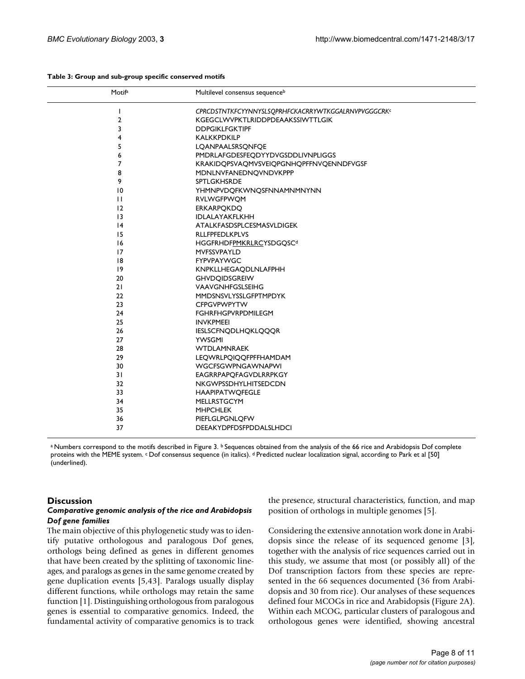#### <span id="page-7-0"></span>**Table 3: Group and sub-group specific conserved motifs**

| <b>Motifa</b>  | Multilevel consensus sequence <sup>b</sup>          |
|----------------|-----------------------------------------------------|
| ı              | CPRCDSTNTKFCYYNNYSLSQPRHFCKACRRYWTKGGALRNVPVGGGCRKG |
| $\overline{2}$ | <b>KGEGCLWVPKTLRIDDPDEAAKSSIWTTLGIK</b>             |
| 3              | <b>DDPGIKLFGKTIPF</b>                               |
| 4              | <b>KALKKPDKILP</b>                                  |
| 5              | LQANPAALSRSQNFQE                                    |
| 6              | PMDRLAFGDESFEQDYYDVGSDDLIVNPLIGGS                   |
| 7              | KRAKIDQPSVAQMVSVEIQPGNHQPFFNVQENNDFVGSF             |
| 8              | MDNLNVFANEDNOVNDVKPPP                               |
| 9              | SPTLGKHSRDE                                         |
| 10             | YHMNPVDQFKWNQSFNNAMNMNYNN                           |
| П              | <b>RVLWGFPWQM</b>                                   |
| 12             | <b>ERKARPQKDQ</b>                                   |
| 13             | IDLALAYAKFLKHH                                      |
| 4              | ATALKFASDSPLCESMASVLDIGEK                           |
| 15             | <b>RLLFPFEDLKPLVS</b>                               |
| 16             | <b>HGGFRHDFPMKRLRCYSDGQSCd</b>                      |
| 17             | <b>MVFSSVPAYLD</b>                                  |
| 18             | <b>FYPVPAYWGC</b>                                   |
| 9              | KNPKLLHEGAQDLNLAFPHH                                |
| 20             | <b>GHVDQIDSGREIW</b>                                |
| 21             | VAAVGNHFGSLSEIHG                                    |
| 22             | <b>MMDSNSVLYSSLGFPTMPDYK</b>                        |
| 23             | <b>CFPGVPWPYTW</b>                                  |
| 24             | <b>FGHRFHGPVRPDMILEGM</b>                           |
| 25             | <b>INVKPMEEI</b>                                    |
| 26             | IESLSCFNQDLHQKLQQQR                                 |
| 27             | <b>YWSGMI</b>                                       |
| 28             | <b>WTDLAMNRAEK</b>                                  |
| 29             | LEQWRLPQIQQFPFFHAMDAM                               |
| 30             | WGCFSGWPNGAWNAPWI                                   |
| 31             | EAGRRPAPQFAGVDLRRPKGY                               |
| 32             | NKGWPSSDHYLHITSEDCDN                                |
| 33             | <b>HAAPIPATWQFEGLE</b>                              |
| 34             | MELLRSTGCYM                                         |
| 35             | <b>MHPCHLEK</b>                                     |
| 36             | PIEFLGLPGNLQFW                                      |
| 37             | <b>DEEAKYDPFDSFPDDALSLHDCI</b>                      |

a Numbers correspond to the motifs described in Figure 3. **b** Sequences obtained from the analysis of the 66 rice and Arabidopsis Dof complete proteins with the MEME system. <sup>c</sup> Dof consensus sequence (in italics). <sup>d</sup> Predicted nuclear localization signal, according to Park et al [50] (underlined).

# **Discussion**

#### *Comparative genomic analysis of the rice and Arabidopsis Dof gene families*

The main objective of this phylogenetic study was to identify putative orthologous and paralogous Dof genes, orthologs being defined as genes in different genomes that have been created by the splitting of taxonomic lineages, and paralogs as genes in the same genome created by gene duplication events [5,43]. Paralogs usually display different functions, while orthologs may retain the same function [1]. Distinguishing orthologous from paralogous genes is essential to comparative genomics. Indeed, the fundamental activity of comparative genomics is to track the presence, structural characteristics, function, and map position of orthologs in multiple genomes [5].

Considering the extensive annotation work done in Arabidopsis since the release of its sequenced genome [3], together with the analysis of rice sequences carried out in this study, we assume that most (or possibly all) of the Dof transcription factors from these species are represented in the 66 sequences documented (36 from Arabidopsis and 30 from rice). Our analyses of these sequences defined four MCOGs in rice and Arabidopsis (Figure 2A). Within each MCOG, particular clusters of paralogous and orthologous genes were identified, showing ancestral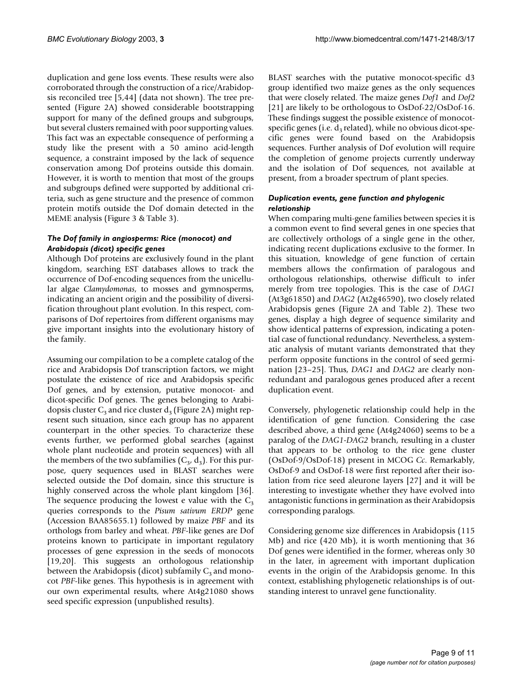duplication and gene loss events. These results were also corroborated through the construction of a rice/Arabidopsis reconciled tree [5,44] (data not shown). The tree presented (Figure 2A) showed considerable bootstrapping support for many of the defined groups and subgroups, but several clusters remained with poor supporting values. This fact was an expectable consequence of performing a study like the present with a 50 amino acid-length sequence, a constraint imposed by the lack of sequence conservation among Dof proteins outside this domain. However, it is worth to mention that most of the groups and subgroups defined were supported by additional criteria, such as gene structure and the presence of common protein motifs outside the Dof domain detected in the MEME analysis (Figure 3 & Table [3](#page-7-0)).

# *The Dof family in angiosperms: Rice (monocot) and Arabidopsis (dicot) specific genes*

Although Dof proteins are exclusively found in the plant kingdom, searching EST databases allows to track the occurrence of Dof-encoding sequences from the unicellular algae *Clamydomonas*, to mosses and gymnosperms, indicating an ancient origin and the possibility of diversification throughout plant evolution. In this respect, comparisons of Dof repertoires from different organisms may give important insights into the evolutionary history of the family.

Assuming our compilation to be a complete catalog of the rice and Arabidopsis Dof transcription factors, we might postulate the existence of rice and Arabidopsis specific Dof genes, and by extension, putative monocot- and dicot-specific Dof genes. The genes belonging to Arabidopsis cluster  $C_3$  and rice cluster  $d_3$  (Figure 2A) might represent such situation, since each group has no apparent counterpart in the other species. To characterize these events further, we performed global searches (against whole plant nucleotide and protein sequences) with all the members of the two subfamilies  $(C_3, d_3)$ . For this purpose, query sequences used in BLAST searches were selected outside the Dof domain, since this structure is highly conserved across the whole plant kingdom [36]. The sequence producing the lowest e value with the  $C_3$ queries corresponds to the *Pisum sativum ERDP* gene (Accession BAA85655.1) followed by maize *PBF* and its orthologs from barley and wheat. *PBF*-like genes are Dof proteins known to participate in important regulatory processes of gene expression in the seeds of monocots [19,20]. This suggests an orthologous relationship between the Arabidopsis (dicot) subfamily  $C_3$  and monocot *PBF*-like genes. This hypothesis is in agreement with our own experimental results, where At4g21080 shows seed specific expression (unpublished results).

BLAST searches with the putative monocot-specific d3 group identified two maize genes as the only sequences that were closely related. The maize genes *Dof1* and *Dof2* [21] are likely to be orthologous to OsDof-22/OsDof-16. These findings suggest the possible existence of monocotspecific genes (i.e.  $d_3$  related), while no obvious dicot-specific genes were found based on the Arabidopsis sequences. Further analysis of Dof evolution will require the completion of genome projects currently underway and the isolation of Dof sequences, not available at present, from a broader spectrum of plant species.

# *Duplication events, gene function and phylogenic relationship*

When comparing multi-gene families between species it is a common event to find several genes in one species that are collectively orthologs of a single gene in the other, indicating recent duplications exclusive to the former. In this situation, knowledge of gene function of certain members allows the confirmation of paralogous and orthologous relationships, otherwise difficult to infer merely from tree topologies. This is the case of *DAG1* (At3g61850) and *DAG2* (At2g46590), two closely related Arabidopsis genes (Figure 2A and Table [2\)](#page-4-0). These two genes, display a high degree of sequence similarity and show identical patterns of expression, indicating a potential case of functional redundancy. Nevertheless, a systematic analysis of mutant variants demonstrated that they perform opposite functions in the control of seed germination [23–25]. Thus, *DAG1* and *DAG2* are clearly nonredundant and paralogous genes produced after a recent duplication event.

Conversely, phylogenetic relationship could help in the identification of gene function. Considering the case described above, a third gene (At4g24060) seems to be a paralog of the *DAG1-DAG2* branch, resulting in a cluster that appears to be ortholog to the rice gene cluster (OsDof-9/OsDof-18) present in MCOG *Cc*. Remarkably, OsDof-9 and OsDof-18 were first reported after their isolation from rice seed aleurone layers [27] and it will be interesting to investigate whether they have evolved into antagonistic functions in germination as their Arabidopsis corresponding paralogs.

Considering genome size differences in Arabidopsis (115 Mb) and rice (420 Mb), it is worth mentioning that 36 Dof genes were identified in the former, whereas only 30 in the later, in agreement with important duplication events in the origin of the Arabidopsis genome. In this context, establishing phylogenetic relationships is of outstanding interest to unravel gene functionality.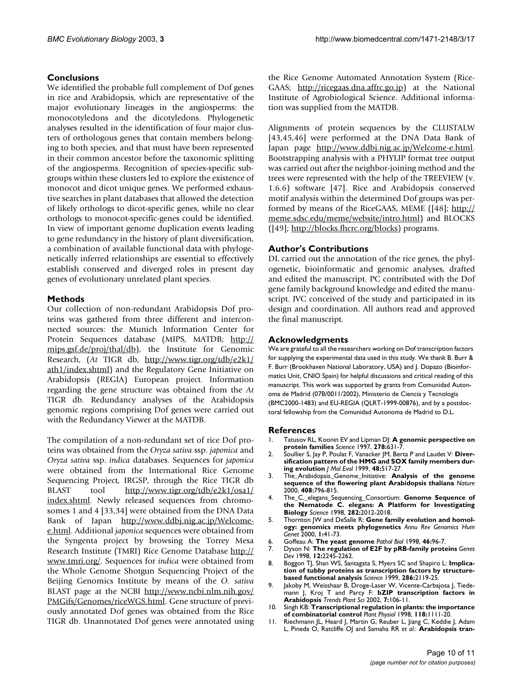# **Conclusions**

We identified the probable full complement of Dof genes in rice and Arabidopsis, which are representative of the major evolutionary lineages in the angiosperms: the monocotyledons and the dicotyledons. Phylogenetic analyses resulted in the identification of four major clusters of orthologous genes that contain members belonging to both species, and that must have been represented in their common ancestor before the taxonomic splitting of the angiosperms. Recognition of species-specific subgroups within these clusters led to explore the existence of monocot and dicot unique genes. We performed exhaustive searches in plant databases that allowed the detection of likely orthologs to dicot-specific genes, while no clear orthologs to monocot-specific-genes could be identified. In view of important genome duplication events leading to gene redundancy in the history of plant diversification, a combination of available functional data with phylogenetically inferred relationships are essential to effectively establish conserved and diverged roles in present day genes of evolutionary unrelated plant species.

# **Methods**

Our collection of non-redundant Arabidopsis Dof proteins was gathered from three different and interconnected sources: the Munich Information Center for Protein Sequences database (MIPS, MATDB; [http://](http://mips.gsf.de/proj/thal/db) [mips.gsf.de/proj/thal/db](http://mips.gsf.de/proj/thal/db)), the Institute for Genomic Research, (*At* TIGR db, [http://www.tigr.org/tdb/e2k1/](http://www.tigr.org/tdb/e2k1/ath1/index.shtml) [ath1/index.shtml\)](http://www.tigr.org/tdb/e2k1/ath1/index.shtml) and the Regulatory Gene Initiative on Arabidopsis (REGIA) European project. Information regarding the gene structure was obtained from the *At* TIGR db. Redundancy analyses of the Arabidopsis genomic regions comprising Dof genes were carried out with the Redundancy Viewer at the MATDB.

The compilation of a non-redundant set of rice Dof proteins was obtained from the *Oryza sativa* ssp. *japonica* and *Oryza sativa* ssp. *indica* databases. Sequences for *japonica* were obtained from the International Rice Genome Sequencing Project, IRGSP, through the Rice TIGR db BLAST tool [http://www.tigr.org/tdb/e2k1/osa1/](http://www.tigr.org/tdb/e2k1/osa1/index.shtml) [index.shtml](http://www.tigr.org/tdb/e2k1/osa1/index.shtml). Newly released sequences from chromosomes 1 and 4 [33,34] were obtained from the DNA Data Bank of Japan [http://www.ddbj.nig.ac.jp/Welcome](http://www.ddbj.nig.ac.jp/Welcome-e.html)[e.html](http://www.ddbj.nig.ac.jp/Welcome-e.html). Additional *japonica* sequences were obtained from the Syngenta project by browsing the Torrey Mesa Research Institute (TMRI) Rice Genome Database [http://](http://www.tmri.org/) [www.tmri.org/](http://www.tmri.org/). Sequences for *indica* were obtained from the Whole Genome Shotgun Sequencing Project of the Beijing Genomics Institute by means of the *O. sativa* BLAST page at the NCBI [http://www.ncbi.nlm.nih.gov/](http://www.ncbi.nlm.nih.gov/PMGifs/Genomes/riceWGS.html) [PMGifs/Genomes/riceWGS.html.](http://www.ncbi.nlm.nih.gov/PMGifs/Genomes/riceWGS.html) Gene structure of previously annotated Dof genes was obtained from the Rice TIGR db. Unannotated Dof genes were annotated using the Rice Genome Automated Annotation System (Rice-GAAS; <http://ricegaas.dna.affrc.go.jp>) at the National Institute of Agrobiological Science. Additional information was supplied from the MATDB.

Alignments of protein sequences by the CLUSTALW [43,45,46] were performed at the DNA Data Bank of Japan page [http://www.ddbj.nig.ac.jp/Welcome-e.html.](http://www.ddbj.nig.ac.jp/Welcome-e.html) Bootstrapping analysis with a PHYLIP format tree output was carried out after the neighbor-joining method and the trees were represented with the help of the TREEVIEW (v. 1.6.6) software [47]. Rice and Arabidopsis conserved motif analysis within the determined Dof groups was performed by means of the RiceGAAS, MEME ([48]; [http://](http://meme.sdsc.edu/meme/website/intro.html) [meme.sdsc.edu/meme/website/intro.html\)](http://meme.sdsc.edu/meme/website/intro.html) and BLOCKS ([49]; [http://blocks.fhcrc.org/blocks\)](http://blocks.fhcrc.org/blocks) programs.

# **Author's Contributions**

DL carried out the annotation of the rice genes, the phylogenetic, bioinformatic and genomic analyses, drafted and edited the manuscript. PC contributed with the Dof gene family background knowledge and edited the manuscript. JVC conceived of the study and participated in its design and coordination. All authors read and approved the final manuscript.

# **Acknowledgments**

We are grateful to all the researchers working on Dof transcription factors for supplying the experimental data used in this study. We thank B. Burr & F. Burr (Brookhaven National Laboratory, USA) and J. Dopazo (Bioinformatics Unit, CNIO Spain) for helpful discussions and critical reading of this manuscript. This work was supported by grants from Comunidad Autonoma de Madrid (07B/0011/2002), Ministerio de Ciencia y Tecnología (BMC2000-1483) and EU-REGIA (QLRT-1999-00876), and by a postdoctoral fellowship from the Comunidad Autonoma de Madrid to D.L.

#### **References**

- 1. Tatusov RL, Koonin EV and Lipman DJ: **[A genomic perspective on](http://www.ncbi.nlm.nih.gov/entrez/query.fcgi?cmd=Retrieve&db=PubMed&dopt=Abstract&list_uids=9381173) [protein families](http://www.ncbi.nlm.nih.gov/entrez/query.fcgi?cmd=Retrieve&db=PubMed&dopt=Abstract&list_uids=9381173)** *Science* 1997, **278:**631-7.
- 2. Soullier S, Jay P, Poulat F, Vanacker JM, Berta P and Laudet V: **[Diver](http://www.ncbi.nlm.nih.gov/entrez/query.fcgi?cmd=Retrieve&db=PubMed&dopt=Abstract&list_uids=10198118)[sification pattern of the HMG and SOX family members dur](http://www.ncbi.nlm.nih.gov/entrez/query.fcgi?cmd=Retrieve&db=PubMed&dopt=Abstract&list_uids=10198118)[ing evolution](http://www.ncbi.nlm.nih.gov/entrez/query.fcgi?cmd=Retrieve&db=PubMed&dopt=Abstract&list_uids=10198118)** *J Mol Evol* 1999, **48:**517-27.
- 3. The\_Arabidopsis\_Genome\_Initiative: **[Analysis of the genome](http://www.ncbi.nlm.nih.gov/entrez/query.fcgi?cmd=Retrieve&db=PubMed&dopt=Abstract&list_uids=11130711) [sequence of the flowering plant Arabidopsis thaliana](http://www.ncbi.nlm.nih.gov/entrez/query.fcgi?cmd=Retrieve&db=PubMed&dopt=Abstract&list_uids=11130711)** *Nature* 2000, **408:**796-815.
- 4. The\_C.\_elegans\_Sequencing\_Consortium: **[Genome Sequence of](http://www.ncbi.nlm.nih.gov/entrez/query.fcgi?cmd=Retrieve&db=PubMed&dopt=Abstract&list_uids=9851916) [the Nematode C. elegans: A Platform for Investigating](http://www.ncbi.nlm.nih.gov/entrez/query.fcgi?cmd=Retrieve&db=PubMed&dopt=Abstract&list_uids=9851916) [Biology](http://www.ncbi.nlm.nih.gov/entrez/query.fcgi?cmd=Retrieve&db=PubMed&dopt=Abstract&list_uids=9851916)** *Science* 1998, **282:**2012-2018.
- 5. Thornton JW and DeSalle R: **[Gene family evolution and homol](http://www.ncbi.nlm.nih.gov/entrez/query.fcgi?cmd=Retrieve&db=PubMed&dopt=Abstract&list_uids=11701624)[ogy: genomics meets phylogenetics](http://www.ncbi.nlm.nih.gov/entrez/query.fcgi?cmd=Retrieve&db=PubMed&dopt=Abstract&list_uids=11701624)** *Annu Rev Genomics Hum Genet* 2000, **1:**41-73.
- 6. Goffeau A: **[The yeast genome](http://www.ncbi.nlm.nih.gov/entrez/query.fcgi?cmd=Retrieve&db=PubMed&dopt=Abstract&list_uids=9769918)** *Pathol Biol* 1998, **46:**96-7.
- 7. Dyson N: **[The regulation of E2F by pRB-family proteins](http://www.ncbi.nlm.nih.gov/entrez/query.fcgi?cmd=Retrieve&db=PubMed&dopt=Abstract&list_uids=9694791)** *Genes Dev* 1998, **12:**2245-2262.
- 8. Boggon TJ, Shan WS, Santagata S, Myers SC and Shapiro L: **[Implica](http://www.ncbi.nlm.nih.gov/entrez/query.fcgi?cmd=Retrieve&db=PubMed&dopt=Abstract&list_uids=10591637)[tion of tubby proteins as transcription factors by structure](http://www.ncbi.nlm.nih.gov/entrez/query.fcgi?cmd=Retrieve&db=PubMed&dopt=Abstract&list_uids=10591637)[based functional analysis](http://www.ncbi.nlm.nih.gov/entrez/query.fcgi?cmd=Retrieve&db=PubMed&dopt=Abstract&list_uids=10591637)** *Science* 1999, **286:**2119-25.
- 9. Jakoby M, Weisshaar B, Droge-Laser W, Vicente-Carbajosa J, Tiedemann J, Kroj T and Parcy F: **[bZIP transcription factors in](http://www.ncbi.nlm.nih.gov/entrez/query.fcgi?cmd=Retrieve&db=PubMed&dopt=Abstract&list_uids=11906833) [Arabidopsis](http://www.ncbi.nlm.nih.gov/entrez/query.fcgi?cmd=Retrieve&db=PubMed&dopt=Abstract&list_uids=11906833)** *Trends Plant Sci* 2002, **7:**106-11.
- 10. Singh KB: **[Transcriptional regulation in plants: the importance](http://www.ncbi.nlm.nih.gov/entrez/query.fcgi?cmd=Retrieve&db=PubMed&dopt=Abstract&list_uids=9847085) [of combinatorial control](http://www.ncbi.nlm.nih.gov/entrez/query.fcgi?cmd=Retrieve&db=PubMed&dopt=Abstract&list_uids=9847085)** *Plant Physiol* 1998, **118:**1111-20.
- 11. Riechmann JL, Heard J, Martin G, Reuber L, Jiang C, Keddie J, Adam L, Pineda O, Ratcliffe OJ and Samaha RR *et al.*: **[Arabidopsis tran](http://www.ncbi.nlm.nih.gov/entrez/query.fcgi?cmd=Retrieve&db=PubMed&dopt=Abstract&list_uids=11118137)-**